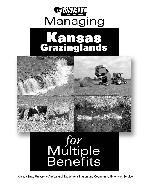





Kansas State University Agricultural Experiment Station and Cooperative Extension Service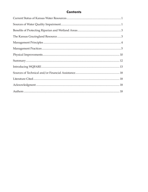## **Contents**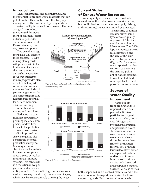## **Introduction**

Livestock grazing, like all enterprises, has the potential to produce waste materials that can pollute water. This can be controlled by proper management. The exact effect grazinglands have on water quality is not well documented. The gen-

eral goal is to reduce the potential for movement of sediment, plant nutrients, pesticides, and animal wastes into Kansas streams, rivers, lakes, and ponds.

Two overall management goals will address these concerns: (1) Optimizing plant growth will provide, within the limitations of a watershed and property ownership, vegetative cover that intercepts raindrops, provides plant densities that impede runoff, and ensures a root mass that binds soil particles together on the soil surface (Figure 1). (2) Reducing the potential for surface movement offsite or leaching of nutrients, animal wastes, and pesticides.

Reducing the contribution of potentially polluting materials from grazingland will contribute to the protection of downstream water quality. Improved onsite water quality also benefits the livestock production enterprise. Microorganisms and chemicals, such as nitrate, in the water supply can cause disease or weaken the animals' immune systems. This can result in a reduction in weight gains, reproduction, and

# **Landscape characteristics influencing runoff Topography** (slope, aspect, terrain) ٨ **Soil Characteristics** (depth, texture, moisture, etc.)



 $\begin{array}{c|c}\n\textbf{Good} & \delta\n\end{array}$  Surface

A

**Figure 1.** *Topography, soil, and vegetative characteristics* 

*influence runoff rates.*

Δ

Runoff Soil Loss

Adapted from Branson et al., 1981

**Vegetative Cover** (composition, density mulch, etc.)

milk production. Ponds with high nutrient concentrations also may contain high populations of algae, which may be toxic to animals drinking the water.

## **Current Status of Kansas Water Resources**

**Poor**

Water quality is considered impaired when normal use of the water downstream (including, but not limited to, domestic water supply, fishing, and swimming) is severely limited or prevented.

The majority of Kansas streams suffer some type of water quality impairment. The Kansas Nonpoint Source Management Plan 2000 Update reported stream miles impacted and the area of the state affected by pollutants (Figure 2). The assessment reported that fecal coliform bacteria was the primary pollutant of Kansas streams. Fewer than half had unacceptable levels of phosphorus and nitrate.

# **Sources of Water Quality Impairment**

Water quality from grazinglands is impaired when suspended solids (soil particles and organic matter particles), nutrients (nitrogen and phosphorus), bacteria, and pesticides exceed standards for specific uses. Pollutants enter streams and rivers through surface flow (runoff) or through internal soil drainage (subsurface flow) either as suspended material or dissolved in water. Internal soil drainage carries both dissolved and suspended material. Surface flow also carries

both suspended and dissolved materials and is the major pollution transport mechanism for Kansas grazinglands. Fecal coliform bacteria, which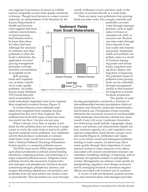can originate from human, livestock or wildlife sources, frequently exceed water quality standards in Kansas. Though fecal bacteria is a major concern statewide, an interpretation of the literature by the

runoff, infiltration of rain and snow melt, or the activities of animals directly in a water body.

There are many ways pollutants from grazinglands can enter water. For example, nutrients and

Kansas Department of Health and Environment suggests that fecal coliform concentrations in typical grazingland streams tend to be lower than those for other land uses. Although the source(s) of coliforms and other pollutants is often difficult to determine, the application of sound grazing management principles will help maintain concentrations at acceptable levels.

Both grazinglands and croplands can, at times, contribute to water quality problems. An earlier Kansas study (Holland, 1971) found that sediment accumulation in



In western Kansas, more sediment originated from rangeland than cropland, because rangeland has less cover than cropland. The sediment loss from both types of land use areas was small, less than 1 ton per acre per year.

When a stream, river, lake, or aquifer is polluted, but the pollution does not come from a single source or event, the water body is said to be suffering from nonpoint source pollution. Any additional activity that produces wastewater or contaminated storm water runoff, but is not required to hold a National Pollutant Discharge Elimination System permit, is a nonpoint pollutant source.

The EPA's most recent 305(b) report identifies agricultural production (confined animal feeding operations, cropping practices, and pasturing) as a major nonpoint pollutant source. Nonpoint source pollution involves the movement of plant nutrients (nitrogen and phosphorus), livestock manure (containing nitrogen, phosphorus, bacteria, and oxygen-demanding substances), soil particles, and pesticides from the land surface into surface water or groundwater. This movement can occur through



pesticides can enter water through improper practices, such as application to frozen or saturated soil, drift, or excessive use. Bacteria can enter water through direct deposit of animal wastes into streams and ponds. Suspended solids and minerals can pollute water as a result of livestock damaging ponds and stream banks, long-term trailing down slopes, and long-term overgrazing. The potential causes of pollution from grazinglands can be controlled through management similar to that required for long-term economic livestock production.

The quality of water

leaving grazinglands is primarily a function of interrelationships between precipitation (interval, duration, and intensity), landscape characteristics, and livestock use. Precipitation events normally determine the maximum amount of runoff possible, while landscape characteristics dictate how much runoff, if any, will occur. Landscape characteristics influencing runoff include: topography (slope, aspect, and terrain), soil characteristics (depth, texture, moisture capacity, etc.), and vegetative cover (species composition, basal density, canopy cover, and mulch) (Figure 4). Infiltration and vegetative cover reduce runoff and subsequent pollutant loading to water courses. Livestock may affect water quality through direct deposition of waste (manure/urine) in water resources or by effects associated with animal concentration (manure concentration, trampling, trailing), overgrazing, and/or untimely devegetation (relative to precipitation events). Management can enhance water quality by manipulating vegetative cover (forage resources) and by managing livestock to minimize negative effects associated with livestock use in a pasture.

A review of relevant literature, pasture inventories, and communication with managers provides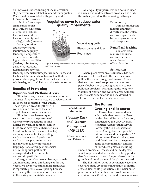an improved understanding of the interrelationship between livestock behavior and water quality. Water quality associated with grazingland is

Water quality impairments can occur in riparian areas, and in downstream areas such as a lake, through any or all of the following pathways.

influenced by livestock distribution. Landscape characteristics that may influence livestock distribution include: livestock water (kind, location, quantity, and quality), shade (presence or absence, location, and canopy characteristics), topography, landscape temperature differentials, prevailing winds, and facilities (feeders, rubs, fences, gates, etc.) locations. Relationships between



**Figure 4.** *Runoff and sediment are reduced as vegetation height, density, and root mass increase.*

landscape characteristics, pasture conditions, and facilities determine where livestock will likely graze and congregate and thus the location and relative degree of defoliation and waste deposition.

## **Benefits of Protecting Riparian and Wetland Areas**

Riparian areas, the natural vegetation types and sites along water courses, are considered criti-

cal areas for protecting water quality. These riparian areas, together with wetlands, can minimize the effect of pollutants on water resources.

Riparian areas have unique vegetation due to the presence of water for varying lengths of time during the year. In addition, soils in these areas have hydric characteristics (resulting from the presence of water) and may be capable of supporting wetland vegetation. Riparian and wetland areas play an important role in water quality protection by trapping, transforming, or otherwise neutralizing such pollutants as suspended solids, nutrients, and certain pesticides.

Overgrazing along streambanks, channels and in feeding areas can damage or destroy vegetative cover. Vegetation in riparian areas is especially prone to overgrazing because it is usually the first vegetation to green up in the spring and is highly palatable.

**For additional information:**

*Stocking Rate and Grazing Management (MF-1118)*

K-State Research and Extension

### **Direct entry**

Animals can deposit manure and urine directly into the water, causing impairments by pathogens, nitrates, and phosphates.

#### **Runoff and leaching**

Pollutants from manure and urine can enter surface water through runoff and leaching.

## **Soil erosion**

Where plant cover on streambanks has been damaged or lost, silt and other sediments can pollute the water through soil erosion. Areas that are overgrazed are prone to erosion and pose a higher risk of causing nonpoint source pollution problems. Maintaining the long-term viability of riparian and wetland areas will help assure stable streambanks and the desired onsite and off-site water quality conditions.

## **The Kansas Grazingland Resource**

Kansas has a large and valuable grazingland resource. Based on the Natural Resource Inventory conducted by the USDA Natural Resources Conservation Service (formerly the Soil Conservation Service), rangeland occupies 17.1 million acres and tame pasture 2.2 million acres. Rangeland is grassland dominated by native grasses. Tame pasture normally consists of introduced grasses, including

smooth brome, tall fescue, and bermudagrass, which require added nutrients to be fully productive. Management of each forage is based on the growth and development of the plants involved.

The 19.3 million acres in permanent vegetation cover are made up of perennial plants, primarily grasses. Beef cattle production is the major enterprise on these lands. Sheep and goat production are minor uses. Wildlife, fish, and recreational uses

3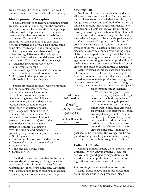are increasing. The economic benefit derived in Kansas from all uses exceeds \$4 billion annually.

## **Management Principles**

Several principles of grazingland management are used to maintain and improve the productivity of the resource. Understanding these principles is the key to developing a system of management practices that can sustain profitability and reduce runoff potential. Specific management practices will often be unique to each situation, but practices are always based on the same principles, which apply to all grazing types.

Grazing management strives to develop a vigorous vegetative cover that helps protect the soil and reduce potential water quality impairments. This is achieved in three ways:

- 1. Vegetative growth provides cover to intercept raindrops;
- 2. Plant crowns provide barriers to the movement of water and solid pollutants; and
- 3. Root mass in the upper soil profile holds soil particles in place.

Forage production for livestock consumption

and for the replenishment of root reserves is a primary factor in the efficient and economical operation of any grazing enterprise. Adjustments in management and/or facility location can be used to increase plant cover, production, and density. Management should strive to ensure an adequate separation (distance and cover) between livestock waste (manure and urine) and drainages. In developing management strategies to improve vegetative cover, the grazingland manager is guided by six grazing management principles:

- Stocking rate
- Uniform utilization/grazing distribution
- Degree of utilization/degree of use
- Season of use
- Kind and class of livestock
- Systematic rest

The first five are used together. In the management decision process, stocking rate is the most critical principle, while the next four represent modifications of stocking rate. Systematic rest is a specialized form of grazing management requiring higher levels of management inputs.

#### **Stocking Rate**

Stocking rate can be defined as the land area allocated to each grazing animal for the grazable period. Three factors are included: the animal, the forage being grazed, and the length of time animals will be on the land. Stocking rate influences how well perennial plants will recover from grazing during the growing season, how well the plant will continue to produce in following years, the quality of the available forage, and the animals' performance.

Only the palatable species should be considered in determining stocking rates. Continued overuse of the most palatable species will occur if stocking rates are determined by including unpalatable species as part of the forage available. This will reduce the long-term productivity of the forage resource, resulting in a reduced profitability of the livestock enterprise, increased likelihood of soil erosion, and invasion of undesirable vegetation.

Many livestock operations base their stocking rate on tradition, the rate used by their neighbors, financial pressure, research results, or guesses. For grazed forages to remain productive, grazing pressure must be matched to the pasture's carrying capacity on a pasture-by-pasture basis and adjusted

for short-term climatic changes.

When matching grazing pressure with carrying capacity, the goal is to attain the best compromise between maximum gain per animal and maximum gain per acre, rather than to maximize either factor by itself. To protect the soil from eroding, it is important to ensure that the vegetation on the grazingland is maintained or improved during the growing season. Most often, this is achieved with a moderate stocking rate. A manager's

goal should be to stock at the average, but be prepared to change stocking rate or to feed during periods of stress, such as drought or flooding.

### **Uniform Utilization**

*Grazing Distribution (MF-515)*

K-State Research and Extension

> Grazing animals usually do not graze an area uniformly. When uneven grazing occurs, forage availability and quality may suffer, resulting in reduced animal performance. Uneven grazing patterns can occur for several reasons:

#### *Pasture shape, terrain, and water location*

Many pastures have one or more areas that are underused due to the presence of steep

**For additional information:**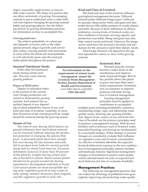slopes, unusually rough terrain, or inaccessible water sources. The shape of a pasture also can affect uniformity of grazing. Encouraging animals to graze underused areas is often difficult and requires changing the grazing animals' habits and grazing patterns. See the following section on grazing distribution practices for information on how to accomplish this.

#### *Grazing preference*

The relative palatability of a plant species depends on factors such as the other species present, stage of growth, and soil fertility status. Grazing animals will concentrate in areas where the plants are most palatable or will selectively graze only the most palatable plants throughout the pasture.

#### **Kind and Class of Livestock**

The kind and class of the livestock influence grazingland management decisions. Different animals prefer different forage types. Cattle prefer grasses, sheep prefer forbs, and goats and deer prefer browse (the edible portions of woody plants) and forbs. Because of these differences in dietary preference, mixing kinds of livestock under certain conditions to increase carrying capacity and production is possible. Sheep and goats may also help control weeds and brush. However, the forage source must have the necessary diversity and production for the animals to meet their dietary needs.

Total forage demand will depend on the age and reproductive status, or class, of the grazing animals.

#### **Seasonal Nutritional Needs**

Forbs often fill nutritional needs during certain periods. This may cause uneven grazing patterns.

#### *Degree of Utilization*

Degree of utilization refers to the portion of the current year's forage production consumed or destroyed by grazing animals. Each pasture has an optimal degree of use, depend-

ing on plant palatability, season of use, and kind and class of livestock. Generally, no more than 50 percent of the current growth by weight should be removed during the growing season.

#### **Season of Use**

The time of year during which plants are grazed influences how much plant material can be removed without reducing the production potential or changing the species that grow. A perennial plant must have enough leaf area during the late summer and early fall to produce food, both for current growth needs and for stored food reserves. Excessive defoliation (removal of more than 50 percent of the plant by weight) during certain periods is harmful to plants. Warm-season plants should not be grazed excessively during reproductive development (mid-July to frost). Cool-season plants are most susceptible during early vegetative growth in late winter to early spring, summer dormancy (July-August), and the vegetative growth in early fall.

**For information on the requirements of animal waste management, contact the Livestock Waste Management Section, Kansas Department of Health and Environment.** *www.kdhe.state.ks.us/feedlots* **(785) 296-6432**

#### **Systematic Rest**

Planned, periodic rest has become a major factor in the maintenance and improvement of grazed forages. Rest at key periods allows the plants to grow and meet their nutritional requirements. Systematic rest can maintain or improve pastures with little disruption in livestock management.

Grazing management principles must be applied in combination to accomplish

multiple goals including profitability assurance, maintaining forage vigor, and addressing water quality issues. Stocking rate, grazing distribution, degree of use, season of use, and kind and class of livestock are the primary principles used to produce a management strategy. Well devised facilities and/or practices such as livestock water, prescribed burning, and fencing are fundamental to a successful strategy. When strategy or practice changes are considered, evaluate their influence on vegetative cover and livestock concentration. An effective evaluation identifies the expected livestock behavioral response to the new combination of management principles, pasture facilities and landscape features. Significant management changes or investments to protect water quality will be selected based not only on expected livestock behavior, but also on economic feasibility.

#### **Management Practices**

The following are management practices that can reduce the discharge of pollutants from grazingland, improving and protecting water quality.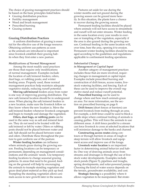The choice of grazing management practices should be based on the basic principles listed below.

- Grazing distribution practices
- Fertility management
- Weed and brush management
- Prescribed burning
- Grazing systems

## **Grazing Distribution Practices**

A uniform distribution of grazing is essential for the effective use of the forage resource. Obtaining uniform use patterns as soon as the animals are introduced is important since livestock establish their grazing habits when they first enter a new pasture.

#### *Modifications of Normal Management*

Among the most readily used practices are those that require only modifications of normal management. Examples include the location of salt/mineral feeders; oilers, dust bags, or rubbing posts; and winter feeding areas. Properly used, these normal management practices help maintain adequate vegetative stands, reducing runoff potential.

**Moving salt/mineral** feeders away from water is one way of improving grazing distribution. The new salt/mineral location should be in undergrazed areas. When placing the salt/mineral feeders in a new location, make sure the livestock follow so they know where the new location is. Move the salt/mineral feeders whenever livestock congregate and begin to trample and damage the vegetation.

**Oilers, dust bags, or rubbing posts** can be used in the same way as salt and mineral feeders. They do not need to be located with the salt/mineral or left by water. Oilers or rubbing posts should not be placed between water and salt. Salt should not be placed between water and oilers. Distribute these throughout the pasture to gain uniform use of the pasture.

**Winter feeding location** can influence where animals graze during the growing season. Feeding locations can be temporary or permanent, depending on management considerations and the animals' needs. Use temporary feeding locations to change seasonal grazing patterns. In areas that need to be grazed, feeding on the ground will help by encouraging the animals to trample standing vegetation and graze dead plant material as they pick up feed. Trampling the standing vegetation allows animals access to new growth later in the season.

Pastures set aside for use during the winter months and not grazed during the growing season can be grazed more heavily. In this situation, the plants have a chance to recover during the growing season.

Permanent feeding facilities should be placed where animals will not have access to streambeds and runoff will not enter streams. Winter feeding in the same location every year results in overuse or trampling of the vegetation, especially if the area is also grazed during the growing season. Continual feeding in the same location will, over time, bare the area, opening it to erosion. Permanent winter feeding facilities should be managed according to the guidelines and regulations applicable to confinement feeding operations.

#### *Substantial Changes in Management or Capital Input*

Another category of management practices includes those that are more involved, requiring changes in management or capital input. Examples include prescribed burning and construction of drift fences, access routes, livestock watering facilities, and fencing. Each of these can be used to improve the overall vegetative stand and reduce runoff potential.

**Prescribed burning** can be used to change where and how much animals graze an area. For more information, see the section on prescribed burning on page 8.

**Drift fences** (short fences or barriers) can prevent livestock from trailing through an area. For example, a drift fence could be used to block a gentle slope where continual trailing of animals is causing gullies. This will force the animals to use different areas. A drift fence parallel to a stream can force livestock to cross at selected locations that will minimize damage to the banks and channel.

**Constructing access routes** along contours or through barriers in areas of rough or steep terrain will allow livestock and equipment access and improve use of the forage.

**Livestock water location** is an important factor in determining animal behavior and habits. One way of drawing animals away from streams and drainages is through the use of livestock water developments. Examples include stock ponds (Figure 5), pipelines and troughs, spring developments, and solar-powered pumps. Choosing the kind of water source depends on the terrain, groundwater availability, and cost.

**Strategic fencing** is a possibility where it allows vegetation to be manipulated. But strate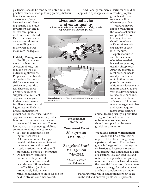gic fencing should be considered only after other practical means of manipulating grazing distribu-

Additionally, commercial fertilizer should be applied in split applications according to plant

tion, including water development, have been exhausted. Fencing usually has a high investment cost and is at least semi-permanent once it is installed. Electric fencing can be an economical means of controlling animals when all other means are inadequate.

#### **Fertility Management**

Fertility management involves the selection of rate, timing, and method of nutrient applications. Proper use of nutrients can reduce the potential for movement into surface or groundwater. There are three primary sources of supplemental nutrient applications to grazinglands: commercial fertilizers, manure, and lagoon water. Each has unique management

guidelines for their use. Nutrient applications are a necessary production practice on tame pastures and on rangeland in some areas. The following are management guidelines common to all nutrient sources:

- Soil test to determine existing nutrient levels.
- Determine amount of supplemental nutrients needed to meet the forage production goal.
- Apply nutrients when they will most likely be used by the plants.
- Do not apply fertilizers, manures, or lagoon water to frozen or saturated soil, or under conditions where runoff is likely (such as immediately before heavy rains, on moderate to steep slopes, or next to streams or other water).

**Livestock behavior and water quality**<br>Influences include water location and quality, shade, topography and prevailing winds.



**Figure 5.** *Location and kind of livestock water source can change animal behavior.*

### **For additional information:**

*Rangeland Weed Management (MF–1020)* 

*Rangeland Brush Management (MF-1021)*

> K-State Research and Extension

growth and moisture availability whenever possible.

Manure may be applied fresh (from the lot or stockpile) or composted. The following guidelines should be followed:

• Determine nutrient content of each lot of manure.

• Apply manure to supply the amount of nutrient needed in smallest quantity, usually phosphorus. Applying manure to meet nitrogen needs usually results in a rapid buildup of soil phosphorus levels.

• Monitor salt content in manure and soil to prevent the development of saline, sodic, or saline/ sodic soil conditions.

• Be sure to follow any waste management plan and permit requirements if the confined

animal feeding facility is permitted.

• Lagoon (animal manure or nutrient management) water should be applied by the same guidelines as manure.

#### **Weed and Brush Management**

Weeds and brush can restrict or prevent livestock from grazing a pasture uniformly. They replace grazable forage and can create physical barriers to livestock movement and grazing, and limit access to parts of a pasture. This can lead to stand reduction and possibly overgrazing of certain areas, which could increase the potential for erosion. Base a management strategy for reducing weed and brush problems on an under-

standing of the role of competition for root space in the soil and on what plants will be present.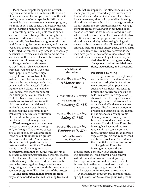Plant roots compete for space from which they can extract water and nutrients. If the roots of one species totally occupy a portion of the soil profile, invasion of other species is difficult or impossible. In a successful management program, the roots of desirable species will occupy the soil profile, assuring dominance by those species.

Controlling unwanted plants can be expensive and difficult. Strategically planning brush areas for wildlife or erosion control may be more economically feasible than trying to reclaim the land for grazing. Poisonous, noxious, and invading weeds that are not compatible with forage should be targeted for control. Many "weeds" are actually beneficial to livestock and wildlife, and the consequences of their removal should be considered before a control program begins.

Forage production decreases as weed and brush encroachment increases. At some level, weed and brush populations become high enough to warrant control. To be justified, control of undesirable species must increase forage production or availability for livestock. Reducing unwanted plants to a tolerable level generally is more economical than attempting to eliminate them. Cost effectiveness increases when weeds are controlled on sites with high production potential, such as lowlands and meadows. Because species respond differently to control attempts, accurate identification of the undesirable plant is important for successful management.

**Weed management** is sometimes necessary because of overgrazing and/or drought. Two or more successive years of drought will encourage invasion of both undesirable grasses and broadleaf weeds. Annual weeds also may occur in pastures under certain weather conditions. The first step is to develop a long-term man-

agement program that encourages the growth of desirable vegetation, particularly perennial grasses.

Mechanical, chemical, and biological control methods, along with prescribed burning, can be used when weeds get too large or widespread. Integrating control methods with the ongoing management program will be a key part of the process.

**A long-term brush management** program may also be needed to deal with existing trees and brush that are impairing the effectiveness of other management practices, and any new invasions of trees and brush. Mechanical, chemical, and biological measures, along with prescribed burning, should be used in combination to manage existing woody plants and prevent their invasion. Management programs should begin by targeting open areas where brush is scattered, followed by areas where brush is more dense. The most cost-effective and timely methods appropriate for the situation should receive priority. When using biological measures, be sure to consider all potential grazing animals, including cattle, sheep, goats, and so forth.

Note: Before destroying any hardwoods that may have potential economic value, such as walnut and oak, an assessment by a forester may be

> desirable. **When using pesticides, always read and follow label cautions, instructions, and directions.**

Fire, grazing, and drought were natural factors in the development of native grazinglands. As settlement progressed, improvements such as roads, fields, and fencing limited the occurrence and size of wildfires. Over time, vegetation changed in subtle ways. Prescribed burning strives to reintroduce fire as a safe and effective management practice. The first consideration in prescribed burning is safety, including adherence to any applicable state regulations. Properly timed fires can be conducted with minimal runoff and soil loss. Prescribed burning has been used more on rangeland than cool-season pastures. Properly used, it can increase vegetative growth and reduce weed and brush problems. This reduces the potential for erosion and runoff.

**Rangeland.** Prescribed burning on rangeland can

provide many benefits. It is an aid in grazing distribution, weed control, brush control, wildlife habitat improvement, and grazingland improvement. Annual burning, where it is possible, together with previously mentioned practices can change the grazing distribution. Livestock prefer forage on burned areas.

A management program that includes timely spring burning for 2 successive years will greatly

**Prescribed Burning For additional information:**

*Prescribed Burning: Planning and Conducting (L-664) Prescribed Burning: Safety (L-565)*

*Prescribed Burning: Equipment (L-876)*

*Prescribed Burning: A Management Tool (L-815)*

> K-State Research and Extension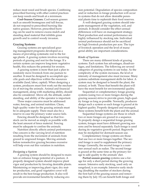reduce most weed and brush species. Combining prescribed burning with other control practices can keep weeds and brush at a minimum.

**Cool-Season Grasses.** Cool-season grasses such as smooth bromegrass and tall fescue, do not respond to prescribed burning like native grasses. However, prescribed burning can be used to remove excess mulch and standing dead material that inhibits grass growth and to control woody invasion.

#### **Grazing Systems**

Grazing systems are specialized grazing management programs developed as a means of providing systematic rest to the forage plants. A grazing system involves recurring periods of grazing and rest for the forage. If a certain system can improve long-term vegetative health, this reduces the potential for erosion.

A grazing system is more than just a plan to randomly move livestock from one pasture to another. It must be designed to accomplish specific goals and objectives within the resources available (land, labor, capital). When designing a system, producers must first work out the mechanics of moving the animals. Animal and financial management, along with marketing ability, should also be considered. Above all, the attitude, understanding, and ability of the operator is important.

Three major concerns must be addressed: water, fencing, and animal nutrition. Clean, high-quality water for the grazing animals must be in adequate supply. There must also be a reserve in case the primary water source fails.

Fencing should be designed so that livestock can be moved as simply as possible with the least amount of fence material. Fencing must be adequate to confine the animals.

Nutrition directly affects animal performance. One concern is the varying level of nutrition resulting from the movement of animals from grazed to ungrazed forages. Moving animals before nonselective grazing becomes excessive will help even out this variation in nutrition.

#### *Designing a System*

A grazing system should be designed to maintain or enhance forage potential of a pasture. A properly designed system should improve plant vigor and production by favoring desirable plants. Maintaining or improving plant vigor, dry matter production, and good vegetative cover will result in the best forage production. It also will provide environmental benefits by reducing erosion potential. Degradation of species composition and/or reduction in forage production will occur in systems that do not allow desirable perennial plants time to replenish their food reserves.

A well-designed grazing system should integrate management of the vegetation, soil, and animals. It should consider the effect annual differences will have on management strategy. Plant production and animal performance are highly influenced by stocking rate. Individual animal performance should not be sacrificed for high livestock production per acre. The type of livestock operation and the level of managerial ability are important considerations.

#### *Kinds of Systems*

There are many different kinds of grazing systems. Each system has advantages, disadvantages, and limitations. The following are several categories of grazing systems in use today. As the complexity of the system increases, the level or intensity of management also must increase. Many systems substitute management skills for labor. A system may be designed to benefit the plant, the animal, or both. Those that benefit the plant will have the most benefit for environmental quality.

Sequential or complementary forage grazing systems (using two or more forages during the grazing season) strive to provide green, high-quality forage as long as possible. Normally, producers design such a system so each forage is grazed at its highest quality. Properly designed and managed, these systems benefit both the plant and the animal.

Sequential forage systems are those in which two or more forages are grazed in a sequence. To properly design a sequential forage grazing system, forages must have different growing seasons and be fenced separately. Each forage is used during its vegetative growth period. Regrowth may be stockpiled for dormant-season use.

Complementary forage systems are those that use two or more forages together. The second forage is used to supplement the primary forage. Generally, the second forage is a summer annual such as sudan. The second forage is grazed at the same time as the primary forage to add quality to the animals' diet.

**Partial-season grazing** systems use a forage for only a short period during the growing season. Intensive early stocking, used only on rangeland, is an example. Intensive early stocking (doubling the number of stockers during the first half of the grazing season and removing them by July 15) can benefit both forage and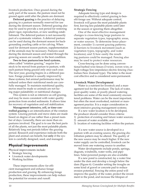livestock production. Once grazed during the early part of the season, the pasture must not be grazed again until after the plants are dormant.

**Deferred grazing** is the practice of delaying grazing in a pasture normally reserved for use during the dormant season. Deferred grazing also may be used to provide a rest period for restoring plant vigor, reproduction, or new seedling establishment. The deferred pasture is not necessarily part of a systematic rotation. A deferred pasture can be used during the dormant season for backgrounding yearling cattle or for calving. When used for dormant season pasture, supplementation of the animals may be necessary. Pastures used during the dormant season and rested through the growing season are usually in the best condition.

**Two to four pastures/one herd systems,**  often called "rotation grazing," require livestock to be moved from pasture to pasture, with each pasture being grazed only once each year. The next year, grazing begins in a different pasture. Forage potential is usually improved by these systems, but animal performance may be reduced unless their nutritional needs are carefully managed. To maintain nutritional quality, moves must be made so animals are not facing major palatability or nutritional changes.

This system is not as intensive as cell grazing, and may be more consistent with water quality protection from eroded sediments. It allows time for recovery of vegetation and soil stabilization.

**Management intensive, cell, or time-controlled grazing** is an intensification of the rotation system. Grazing periods and move dates are made based on degree of use rather than a preset number of days. Generally, there are more than six pastures involved. The goal is to use the best parts of all the plants, not just the most palatable plants. Relatively long rest periods follow the grazing period. Research and experience indicate both the plant and animal can benefit, but **only** if the system is carefully designed, used, and managed.

## **Physical Improvements**

Physical improvements include:

- Strategic fencing
- Livestock water developments
- Working facilities

These improvements allow for efficient management and enhance forage production and grazing. By enhancing forage production, these improvements can help reduce the potential for erosion and runoff.

## **Strategic Fencing**

Adequate fencing type and design is required to effectively control grazing to benefit forage use. Without adequate control, livestock will graze the most palatable plants first, leaving less palatable plants until later in the season or ignoring them altogether.

One of the most effective management changes is cross-fencing large pastures to separate vegetation types, topographic areas, or water sources. To determine fence placement, consider 1) current grazing patterns; 2) barriers to livestock movement (such as vegetation types, topography, and water locations); and 3) how easily the resulting pastures could be managed. Fencing also may be used to protect water resources.

Cross-fencing can be done using conventional barbed wire fences (3-wire), woven wire, or high-voltage/low-impedance electric fencing (Australian-New Zealand type). The latter is the most cost effective and is considered semi-permanent.

#### **Livestock Water Development**

Water is a nutrient for livestock and a management tool for the producer. The lack of water, poor-quality water, or poorly placed watering facilities are some of the most commonly encountered problems. Water can be the most important, but often the most overlooked, nutrient or management practice. It is a major consideration in most intensive grazing management systems.

If a new water location is to be developed, the producer should consider three criteria:

- 1) protection of existing and future water sources;
- 2) amount of water available; and
- 3) location of watering facilities within the pasture.

If a new water source is developed in a pasture with an existing source, the grazing distribution pattern may be altered. The quality of the new source may be much higher. If the new water supply can be controlled, livestock can be moved from one watering source to another.

Water developments include ponds, springs, dugouts, windmills, water wells, and pipelines. Solar-powered pumps are also available.

If a new pond is constructed, lay a water line under the dam and develop a trough below the dam (Figure 6). Consider setting the troughs on some kind of gravel or concrete pad to reduce erosion potential. Fencing the entire pond will improve the quality of the water, protect the investment in the pond, and increase the lifespan of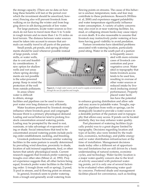the storage capacity. (There are no data on how long these benefits will last or the period over which the investment should be amortized, however.) Fencing also will prevent livestock from walking on ice during the winter and from bogging down in silt during periods of low water.

For large pastures, locate water sources so livestock do not have to travel more than ½ to ¾ mile in rough terrain and no more than 1 to 1½ miles on level terrain. The distance between water sources must be taken into account to ensure that animals can readily travel to all parts of the pasture.

Small ponds, pit ponds, and spring developments should be used whenever possible instead

of large ponds, windmills, or water wells, due to cost and feasibility considerations. A new option for shallow wells and wet areas where spring developments are not possible is the solar-powered pump. Keep in mind the protection of the well from outside pollutants.

In areas where water is difficult to obtain, storage

facilities and pipelines can be used to transport water over long distances very efficiently.

Water locations preferred by livestock strongly influence where livestock graze and congregate because thirst is a primary physiological demand. Loafing and social behavior tend to prolong livestock concentration around watering points. Loafing may be prompted by the need to rest, ruminate, or take advantage of evaporative cooling or shade. Social interactions that tend to be concentrated around watering points include pecking order establishment, suckling, and breeding.

Livestock preference between similar watering facilities in the same pasture is usually determined by prevailing wind direction, proximity to shade, location of salt/mineral supplements, feed, or other factors that satisfy physiological needs. Current research suggests that livestock prefer watering at troughs over other sites (Miner et. al, 1992). Project experience suggests that, all other factors being equal, livestock prefer water facilities in the following order: 1) trough (from well or spring), 2) pond, 3) pool in stream, and 4) flowing point on stream.

In general, livestock seem to prefer watering from a trough and generally avoid watering from flowing points on streams. The cause of this behavior is unclear; temperature, taste, and fear may contribute to these preferences. Research (Willms et. al, 2000) and experience suggest palatability and water temperature significantly influence water consumption. A variety of safety concerns may also exist in or near watering facilities. Ice, mud, or collapsing stream banks may cause injury or even death. It is also reasonable to assume that livestock may instinctively prefer watering at locations having good visibility to avoid predation.

Pasture inventories have identified problems associated with watering location, particularly pond siting. Water in the south part of a pasture



**Figure 6.** *A single water source can be used to supply several pastures through the use of a pipeline and troughs.* 

is frequently associated with more extreme cases of livestock concentration and poor vegetative cover. Water sited in topography that limits livestock access tends to be used less, resulting in overuse of other water sources or reduced intake by livestock (reducing animal performance). Properly placed water facilities have the potential

to enhance grazing distribution and allow safe and easy access to palatable water. Troughs, supplied by pipelines from wells or springs, can be strategically located to provide a water source in a desirable portion of the pasture and in topography that allows easy access. If ponds can be located similarly, they too may enhance water quality.

Past placement of watering facilities (typically ponds) was to a great degree limited by topography. Decisions regarding location and type of facility also were limited by the tradition, economics, technology, and public energy and/or water distribution infrastructure at the time of installation. Management decisions made today offer a different set of opportunities and limitations but are still driven by a basic understanding of natural systems, economic cycles, and technology. Water facility location is a major water-quality concern due to the level of activity associated with preferred watering points, yet it is only one of several factors to be evaluated when addressing water quality concerns. Preferred shade and management facilities placed for convenience, such as feeding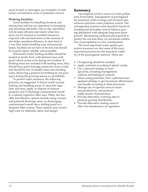areas located in drainages, are examples of additional concentration areas of potential concern.

### **Working Facilities**

Good facilities for handling livestock and storing feed and hay are important in managing and operating efficiently. Day-to-day operations will be more efficient and timely when livestock can be checked or handled whenever required with minimal stress to the animals. It also helps operation efficiency to store feed in a way that makes handling easy and prevents losses. Facilities do not have to be new, but should be in good repair, reliable, and accessible.

Permanent winter feeding facilities should be located in nearly level, well-drained areas with good vehicle access even during wet weather. If birthing areas are included with feeding areas, they should have good drainage, protection from winds, and should be free of muddy areas and standing water. Reserving a pasture for birthing by not grazing it during the growing season is a possibility.

To protect water resources, the following practices are suggested: 1) divert runoff around feeding and handling areas; 2) clean lots regularly and store, apply, or dispose of manure properly; and 3) discharge contaminated runoff to a natural vegetative filter area. Other, less feasible, but effective, options include using covered and guttered discharge areas, or discharging contaminated runoff into a settling pond or a designed filter system. These options may involve high costs for materials, labor, and design.

## **Summary**

Grazingland can be a source of water pollutants. Fortunately, management of grazingland for sustained yield of forage and livestock also achieves optimum water pollution control. The management practices used should be based on fundamental principles used to balance grazing defoliation with adequate long-term plant growth. Maintaining sufficient plant growth to protect the soil and allow for maximum infiltration of precipitation is a key consideration.

The most important water-quality-protection measures are also some of the most important practices for the long-term viability of the grazingland resource. These are:

- Overgrazing should be avoided.
- Apply nutrients according to plants' needs.
- Use a planned strategy to manage pests, including management, cultural, and biological controls.
- When using pesticides, have a planned management strategy to get maximum effectiveness and handle according to label directions.
- Manage use of riparian areas to maintain productivity and promote stable stream characteristics.
- Provide alternative watering sites to promote grazing distribution.
- Provide alternative loafing areas to allow for maintenance of vegetation.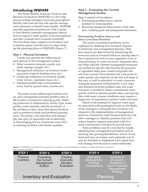## **Introducing WQFARE**

The Water Quality Financial Analysis and Resource Evaluation (WQFARE) is a five-step process to help managers of private grazingland identify risks and develop site-specific management measures to benefit water quality. WQFARE provides agricultural producers with a means to first identify potential management alternatives to improve water quality from grazinglands and then evaluate their economic feasibility. The first three steps comprise an inventory and evaluation phase, and the last two steps make up the planning phase of WQFARE.(Figure 7.)

#### **Step 1 - Physical Inventory**

Locate and describe the following for each pasture of the management system:

- Water resources (streams, ponds, wetlands, springs, troughs, etc.)
- Management influences on livestock (watering points, mineral, feeding areas, etc.)
- Landscape influences on livestock (shade, wind, terrain, vegetation types, etc.)
- Potential problem sites (concentration areas, heavily grazed areas, erosion, etc.)

The major factor influencing livestock activity, and consequently potential problem sites, is the location of preferred watering points. Watering preference is influenced by facility type, water quality, water quantity, and the proximity of the facilities to other areas that attract livestock such as preferred shade and preferred grazing areas. Prevailing wind direction and topography also play an important role in attracting or discouraging the use of grazing areas, trees or watering facilities with similar qualities.

#### **Step 2 - Evaluating the Current Management System**

Step 2 consists of two phases:

- Determining problem sources and the potential for correcting them.
- Reviewing managerial characteristics of the enterprise, including goals and management information.

#### *Determining Problem Sources and their Correction Potential*

The source of potential problems can be explained by studying how livestock respond to landscape and management features. Problem sources are determined by identifying the feature(s) and/or livestock behavior causing sites to have exposed soil and/or poor vegetative cover in close proximity to water resources. Vegetation density helps indicate whether management measures are needed for specific sites because the presence of vegetation helps slow runoff and protect the soil from erosion. The potential risk a site poses to water quality also depends on the size and slope of the area, as well its proximity to water resources. Adequate separation (influenced by cover, slope and distance) between problem sites and water resources is needed to reduce contaminant transport by runoff to streams, ponds, lakes, and springs. Sites with more extreme conditions may require a larger area of separation to protect water resources.

Much of the potential to improve water quality associated with grazingland rests on the ability of the manager to anticipate how livestock will respond to the implementation of management practices. Familiarity with livestock behavior will allow managers to identify practices that will reduce negative impacts associated with livestock concentration and heavily grazed areas.

Some problems may be corrected by simply adjusting basic management principles such as stocking rate, grazing distribution, season of use, kind and class of animal, and systematic rest. It may be desirable to implement a low-input/lowrisk strategy first because it could sufficiently

**Figure 7.** *WQFARE is a two part, five step process to evaluate current management strategies, consider alternatives, and assess their economic feasibility.*

| <b>STEP1</b>                    | <b>STEP 2</b>                                     | STEP <sub>3</sub>                                             | STEP <sub>4</sub>                                           | <b>STEP 5</b>                                                                                      |
|---------------------------------|---------------------------------------------------|---------------------------------------------------------------|-------------------------------------------------------------|----------------------------------------------------------------------------------------------------|
| Physical<br>Inventory           | Evaluating<br>the Current<br>Management<br>System | <b>Existing</b><br>Economic<br><b>Situation</b><br>Evaluation | Alternative<br>Management<br>Strategy<br><b>Development</b> | Analysis of<br>Economic<br>Feasibility of<br><b>Each Proposed</b><br>Management<br><b>Strategy</b> |
| <b>Inventory and Evaluation</b> |                                                   |                                                               | Planning                                                    |                                                                                                    |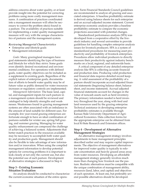address concerns about water quality, or at least provide insight into the potential for correcting problems using more costly management measures. A combination of practices coordinated into a management measure will often be necessary to correct the problem site(s) found in a pasture. The availability of practices suitable for implementing a water quality management measure will vary with the unique characteristics of pastures and the management system.

#### *Reviewing Managerial Characteristics*

- Enterprise and lifestyle goals
- Management information

*Goals:* Many grazingland managers have goal statements identifying the type of business and lifestyle for which they strive. Some goals even identify desired recreational and environmental conditions. For operations with defined goals, water quality objectives can be included as a supplement to existing goals. Regardless of the explicit nature of enterprise goals, documentation of efforts to benefit water quality may be of future value as public demand for water resources increases or regulatory controls are implemented.

*Management Information*: The basic land, capital, and management inputs for each pasture in a management system should be reviewed and cataloged to help identify strengths and weaknesses. Weaknesses found in grazing management systems are often associated with an imbalance in the amount of land suitable for different uses. For example, few year-round grazing enterprises are fortunate enough to have an ideal combination of pastures suitable for winter use, spring/fall grazing, and summer grazing. Managing for water quality enhancement can compound the challenge of achieving a balanced system. Adjustments that better match practices to the resources available may be necessary to accomplish both water quality and production goals. Management should also be flexible to take advantage of new information and/or innovation. When using the compiled management information to develop potential options for correcting problems it is important to look closely at not only the current use, but also the potential use of each pasture. Development of alternative strategies is discussed in Step 4.

#### **Step 3 - Existing Economic Situation Evaluation**

An analysis should be conducted to characterize the current economic situation of the entire operation. Farm Financial Standards Council guidelines are recommended to analyze all grazing and associated enterprises. A baseline profitability estimate is derived using balance sheets for each enterprise and an accrual-adjusted income statement. Current enterprise economic analysis provides a baseline profitability estimate to compare the economic projections associated with potential changes.

Standardized performance analysis (SPA) was developed from a cooperative effort by the livestock industry and several universities to provide guidelines for handling complex enterprise analysis issues for livestock producers. SPA is a system of standardized procedures for measuring asset productivity and profitability of livestock enterprises. Procedures allow individual producers to directly measure their productivity against industry benchmarks on a local, regional, and nationwide basis.

A critical component of any detailed enterprise analysis like SPA is collecting accurate financial and production data. Producing valid production and financial data requires detailed record keeping. A valid assessment of the profitability of a pasture should incorporate accrual-adjusted financial statements (beginning balance sheet, balance sheet, and income statement). Accrual adjusted financial statements account for changes in the value of noncash assets such as herd inventory. The primary information needed is herd inventory throughout the year, along with feed and land resources used by the grazing enterprise. Technical assistance in developing enterprise profitability estimates is available through Kansas State University Department of Agricultural Economics. Data collection forms for the appropriate enterprise can be obtained from local K-State Research and Extension offices.

### **Step 4 - Development of Alternative Management Strategies**

An alternative management strategy involves adjustments to basic management principles described earlier and may require capital improvements. The objective of management alternatives for improved water quality is typically to relocate concentration and heavily grazed areas away from water resources. Developing an affordable management strategy generally involves much more than changing how livestock use the pasture. Realistic alternatives must be compatible with the unique combination of management ability, resources (land, labor, and capital) and objectives of each operation. At least one, but preferably several possible alternatives should be developed.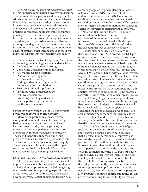*Developing New Management Measures:* Developing new practice combinations involves envisioning desired livestock use patterns and management adjustments needed to accomplish them. Alternatives are devised by anticipating the response of livestock to possible management adjustments. Management adjustments and improvement practices considered should generally encourage grazing in underused upland portions of pastures and discourage livestock trampling, manure deposition, and overgrazing areas sensitive to water quality degradation, such as riparian areas. Depending upon specific pasture conditions, management strategies that include one or more of the following adjustments may benefit water quality:

- Changing watering facility type and/or location
- Reducing the stocking rate to a moderate level
- Implementing prescribed burning
- Controlling undesirable trees and brush
- Alternating feeding locations
- Discontinue feeding near streams and in drainages
- Adding and/or removing fences to improve grazing distribution
- Relocating mineral supplements
- Providing wind protection away from water resources
- Promoting use of upland shade
- Resting pasture for a period during the growing season

### *Developing Economically Viable Management Strategies to Improve Water Quality*

Many of the profitability measures commonly used in agriculture can be misleading. Basing management decisions on net farm income, gross margin, returns per acre, or returns per head comparisons often leads to economically inferior management strategies. The Farm Financial Standards Council suggests two primary measures of profitability, rate of return on assets, and rate of return on equity. These measures scale net income to the capital resources required to achieve it. SPA provides the framework for calculating these values.

#### *Economic Analysis of Structural Improvements*

The economic feasibility of proposed capital improvements should be evaluated using standard capital budgeting procedures. Capital budgeting refers to the process of planning expenditures on assets whose cash flows are expected to extend beyond one year. Capital budgeting decision rules

commonly applied in grazingland situations are net present value (NPV), benefit cost ratio (B/C), and internal rate of return (IRR). Under certain conditions, these common measures can yield conflicting results. When this occurs, NPV is generally considered the superior method of evaluating capital investments or management alternatives.

NPV and B/C are similar. NPV is defined as the difference between the sum of discounted cash inflows and outflows, while B/C is the sum of discounted benefits divided into the sum of discounted costs. IRR is defined as the discount rate that equates NPV to zero.

Capital budgeting decision rules are all discounted cash flow (DCF) procedures. DCF procedures discount future cash flows to account for the time value of money when considering investments or management measures. A basic principle of financial management is that a dollar today is worth more than a dollar tomorrow (Brealey and Myers, 1991). Cash on hand today could be invested to generate future income, or retire debt and reduce interest expenses. To make a fair comparison of cash flows occurring at different time periods, they should be adjusted to a common point in time, typically the present value. Discounting, the mathematical reverse of compounding, is the process of converting future cash flows to their present value.

Capital budgeting criteria favor projects with more immediate benefits. For example, technology that can shorten initial grazing deferments would be more valuable to a livestock operation than extending the life of a seeded stand of grass. Projects or management changes that require a large initial investment, or do not return benefits until several years into the future, rarely generate a positive discounted net return to a livestock producer.

Unfavorable economic evaluations of grazingland improvements are often criticized as short sighted because some would assume that a project that permanently improves pasture condition and productivity will eventually pay for itself. While this rationale is intuitive, it does not recognize the time value of money. At a 7 percent discount rate, the present value of an investment returning \$100 per year never exceeds \$1,430, even with an infinite time horizon. Capital costs, therefore, impose a limit to the private benefit of improved pasture productivity. Consequently, pasture improvements requiring excessive up-front investment will never pay off, even if benefits continue perpetually. Properly estimated capital budgeting results are considered long-term feasibility estimates.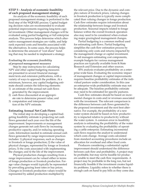### **STEP 5 - Analysis of economic feasibility of each proposed management strategy**

An analysis of the economic feasibility of each proposed management strategy is performed in the final step of the WQFARE process. Capital budgeting decision rules are recommended to evaluate potential improvements requiring long-term capital investment. Other management changes will be evaluated using partial budgeting or full enterprise analysis. This process helps determine which alternative management strategies are viable, and help rank expected costs and benefits associated with the alternatives. In some cases, the process helps to determine the amount of "cost share" funding that may be needed to implement a strategy.

### *Evaluating the economic feasibility of proposed management measures*

Step by step instructions for calculating NPV and other capital budgeting measures are presented in several financial management texts and extension publications, with a variety of ways to approach the problem. At a minimum, however, any capital budgeting estimate should contain the following elements:

- 1) an estimate of the annual net cash flows generated by the improvement;
- 2) cash flows discounted at an appropriate rate to determine present value; and
- 3) computation and interpretation of the NPV estimate.

## **Estimating Annual Net Cash Flows**

The initial step in developing a capital-budgeting feasibility estimate is projecting net cash flows generated each year over the life of the improvement. Improvements or management changes generate net cash flows by increasing productive capacity, and/or reducing operating costs. Information needed to estimate annual cash flows generated by range improvement practices includes: 1) physical responses, such as changes in livestock or forage production; 2) the value of physical changes, represented by forage or livestock prices; 3) the costs associated with implementing the changes; and 4) the life of the improvement.

Physical production changes resulting from a range improvement can be valued either in terms of forage production or livestock production. Forage value changes would typically be represented by prevailing grazing lease rates or hay prices. Changes in livestock production values would be represented by added production multiplied by

the relevant price. Due to the dynamic and complex nature of livestock prices, valuing changes in livestock production is typically more complicated than valuing changes in forage production. Cash flow estimates require information about the relationship between forage and livestock production. Seasonal impacts related to forage balance within the overall livestock operation also may need to be considered when evaluating major grazingland management changes.

Partial budgeting is a common method used for estimating cash flows. Partial budgeting simplifies the cash flow estimation process by considering only costs and returns impacted by the management change or capital investment. To aid managers estimating cost components, example budgets for various management practices are typically available from K-State Research and Extension and other sources.

SPA analysis evaluates profitability on a enterprise-wide basis. Evaluating the economic impact of management changes or capital improvements requires baseline profitability estimates of the individual pasture under consideration. In this case an enterprise-wide profitability estimate may not be adequate. The baseline profitability estimate may need to be estimated for specific pastures.

Cash flow estimates should be based on incremental changes in costs and/or revenues associated with the investment. The relevant comparison is the difference between cash flows generated by the proposed investment and the next best alternative. For example, the profitability of a new water system should be based on how productivity is impacted relative to productivity without the water system. A common error in feasibility analysis is estimating the profitability of the water system by evaluating the profitability of operating a cattle enterprise. Estimating incremental cash flows requires the analyst to understand which costs change. Average costs calculated from standard accounting procedures include an allocation for overhead and other fixed costs.

Producers considering a substantial capital improvement should understand the difference between cash flow and profitability. A project may be profitable, but may not be feasible for producers unable to meet the cash flow requirements. A project may be profitable in the long run, but not financially feasible if the investment creates liquidity problems. Liquidity refers to whether there is enough cash on hand to pay bills as they come due.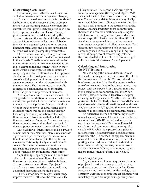#### **Discounting Cash Flows**

To accurately assess the financial impact of capital improvements or management changes, cash flows projected to occur in the future should be discounted to their present value. A simple method of discounting cash flows to their present value is multiplying each projected cash flow by the appropriate discount factor. The appropriate discount factor is determined by the discount rate and the year in which the cash flow occurs. Discount factor tables are available in financial management texts and other sources. Financial calculators and popular spreadsheet software will readily compute present value.

The economic feasibility of range improvements depends largely on the discount rate used in the analysis. The discount rate should reflect the minimum rate of return management is willing to accept on the investment, which in most cases would be the expected rate of return on competing investment alternatives. The appropriate discount rate also depends on the operator cost of capital, prevailing interest rates in the general economy, and the risk associated with the investment. The importance of proper discount rate selection increases as the useful life of the planned improvement increases.

An important issue to consider when developing cash flow and discount rate estimates over a multiyear period is inflation. Inflation refers to the increase in the price level of goods and services in the economy over time. Rising prices influence future income projections through livestock prices and production costs. Cash flows estimated from prices that include inflation are considered "nominal." By contrast, cash flows estimated from prices that have the inflation component removed are considered "real."

Like cash flows, interest rates can be expressed as nominal or real. Nominal interest rates include a premium equal to the expected rate of inflation. Interest rates observed in the capital and money markets are typically nominal rates. To convert the interest rate from a nominal to a real basis, the expected rate of inflation should be subtracted from the nominal interest rate.

Capital budgeting analysis can be done with either real or nominal cash flows. The inflation assumption should be consistent between discount rates and cash flows. If projected cash flows were estimated on a nominal basis, a nominal discount rate should be used.

The risk associated with a particular range improvement will influence the results of a feasibility estimate. The second basic principle of financial management (Brealey and Myers, 1991) states that a safe dollar is worth more than a risky one. Consequently, riskier investments typically require a higher return. Financial markets implicitly add a risk premium to the return on financial assets. Adding a premium to the discount rate, therefore, is a common method of adjusting for risk. However, deriving a risk-adjusted discount rate on a specific physical asset is often difficult. An alternative approach is to use the discount rates typically applied to similar investments. Real discount rates ranging from 4 to 8 percent are commonly used to evaluate rangeland improvements, although recent research suggests that the risk-adjusted real rate of return on most agricultural assets falls between 5 and 9 percent.

#### **Calculating and Interpreting the NPV Estimate**

NPV is simply the sum of discounted cash flows, whether negative or positive, over the life of the improvement. A zero NPV is considered the break-even point and implies the project yields a rate of return equivalent to the discount rate. Any project with an expected NPV greater than zero is projected to be economically feasible. When choosing between several alternatives, the project carrying the greatest NPV is the economically preferred choice. Similarly, a benefit cost (B/C) ratio equal to one implies total benefits equal total costs. Any project with a B/C greater than or equal to one, therefore, is projected to be economically feasible.

An alternative method of estimating the economic feasibility of a capital investment is internal rate of return (IRR). IRR is defined as the discount rate that equates NPV to zero. Financial calculators and computer software can quickly calculate IRR, which is expressed as a percent rate of return. The accept/reject decision criteria is whether the IRR exceeds the opportunity cost of capital. This is often more intuitive than interpreting a summed dollar value. IRR should be interpreted carefully, however, because results are sensitive to underlying assumptions regarding the reinvestment of positive cash flows.

#### *Sensitivity Analysis*

Any economic evaluation requires an estimate of projected livestock prices, production costs, productivity impact, and other variables. These forecasts cannot be identified with any degree of certainty. Deriving economic impact estimates will inevitably require assumptions regarding these